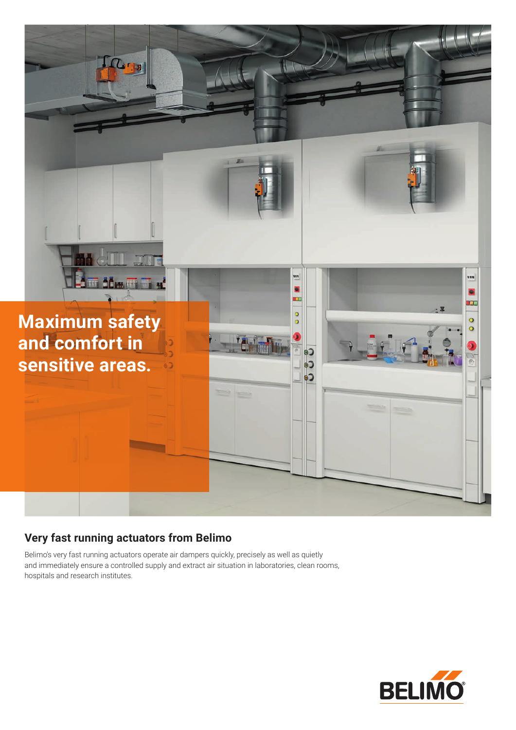

## **Very fast running actuators from Belimo**

Belimo's very fast running actuators operate air dampers quickly, precisely as well as quietly and immediately ensure a controlled supply and extract air situation in laboratories, clean rooms, hospitals and research institutes.

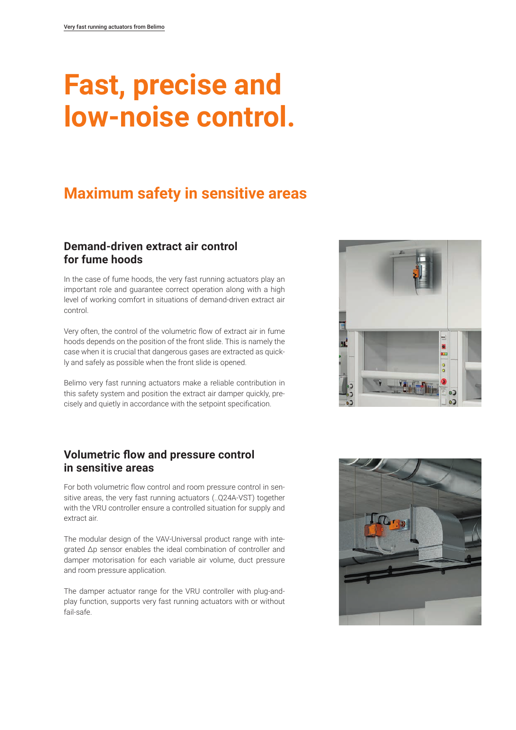## **Fast, precise and low-noise control.**

## **Maximum safety in sensitive areas**

### **Demand-driven extract air control for fume hoods**

In the case of fume hoods, the very fast running actuators play an important role and guarantee correct operation along with a high level of working comfort in situations of demand-driven extract air control.

Very often, the control of the volumetric flow of extract air in fume hoods depends on the position of the front slide. This is namely the case when it is crucial that dangerous gases are extracted as quickly and safely as possible when the front slide is opened.

Belimo very fast running actuators make a reliable contribution in this safety system and position the extract air damper quickly, precisely and quietly in accordance with the setpoint specification.

### **Volumetric flow and pressure control in sensitive areas**

For both volumetric flow control and room pressure control in sensitive areas, the very fast running actuators (..Q24A-VST) together with the VRU controller ensure a controlled situation for supply and extract air.

The modular design of the VAV-Universal product range with integrated Δp sensor enables the ideal combination of controller and damper motorisation for each variable air volume, duct pressure and room pressure application.

The damper actuator range for the VRU controller with plug-andplay function, supports very fast running actuators with or without fail-safe.



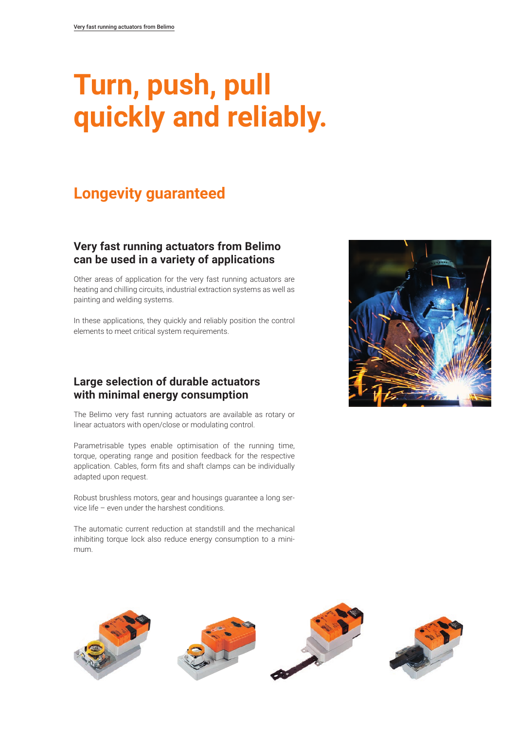## **Turn, push, pull quickly and reliably.**

## **Longevity guaranteed**

### **Very fast running actuators from Belimo can be used in a variety of applications**

Other areas of application for the very fast running actuators are heating and chilling circuits, industrial extraction systems as well as painting and welding systems.

In these applications, they quickly and reliably position the control elements to meet critical system requirements.

#### **Large selection of durable actuators with minimal energy consumption**

The Belimo very fast running actuators are available as rotary or linear actuators with open/close or modulating control.

Parametrisable types enable optimisation of the running time, torque, operating range and position feedback for the respective application. Cables, form fits and shaft clamps can be individually adapted upon request.

Robust brushless motors, gear and housings guarantee a long service life – even under the harshest conditions.

The automatic current reduction at standstill and the mechanical inhibiting torque lock also reduce energy consumption to a minimum.